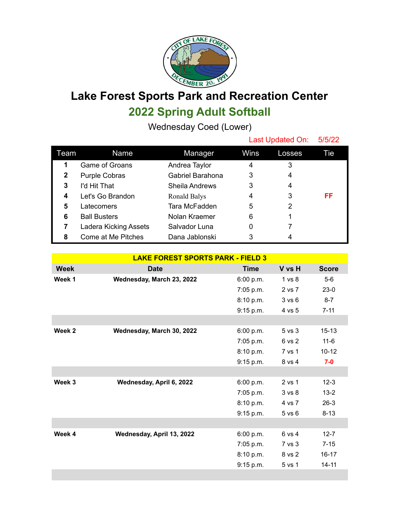

## **Lake Forest Sports Park and Recreation Center 2022 Spring Adult Softball**

Wednesday Coed (Lower)

|              |                       |                  | Last Updated On: |        | 5/5/22 |  |
|--------------|-----------------------|------------------|------------------|--------|--------|--|
| Team         | Name                  | Manager          | Wins             | Losses | Tie    |  |
| 1            | Game of Groans        | Andrea Taylor    | 4                | 3      |        |  |
| $\mathbf{2}$ | <b>Purple Cobras</b>  | Gabriel Barahona | 3                | 4      |        |  |
| 3            | I'd Hit That          | Sheila Andrews   | 3                | 4      |        |  |
| 4            | Let's Go Brandon      | Ronald Balys     | 4                | 3      | FF     |  |
| 5            | Latecomers            | Tara McFadden    | 5                | 2      |        |  |
| 6            | <b>Ball Busters</b>   | Nolan Kraemer    | 6                |        |        |  |
| 7            | Ladera Kicking Assets | Salvador Luna    | 0                |        |        |  |
| 8            | Come at Me Pitches    | Dana Jablonski   | 3                | 4      |        |  |

| <b>LAKE FOREST SPORTS PARK - FIELD 3</b> |                           |             |                   |              |  |
|------------------------------------------|---------------------------|-------------|-------------------|--------------|--|
| <b>Week</b>                              | <b>Date</b>               | <b>Time</b> | V vs H            | <b>Score</b> |  |
| Week 1                                   | Wednesday, March 23, 2022 | 6:00 p.m.   | 1 vs 8            | $5-6$        |  |
|                                          |                           | 7:05 p.m.   | 2 vs 7            | $23-0$       |  |
|                                          |                           | 8:10 p.m.   | 3 v s 6           | $8 - 7$      |  |
|                                          |                           | 9:15 p.m.   | 4 vs 5            | $7 - 11$     |  |
|                                          |                           |             |                   |              |  |
| Week 2                                   | Wednesday, March 30, 2022 | 6:00 p.m.   | 5 vs 3            | $15 - 13$    |  |
|                                          |                           | 7:05 p.m.   | 6 vs 2            | $11-6$       |  |
|                                          |                           | 8:10 p.m.   | 7 vs 1            | $10 - 12$    |  |
|                                          |                           | 9:15 p.m.   | 8 vs 4            | $7-0$        |  |
|                                          |                           |             |                   |              |  |
| Week 3                                   | Wednesday, April 6, 2022  | 6:00 p.m.   | 2 vs 1            | $12-3$       |  |
|                                          |                           | $7:05$ p.m. | 3 <sub>vs</sub> 8 | $13 - 2$     |  |
|                                          |                           | 8:10 p.m.   | 4 vs 7            | $26-3$       |  |
|                                          |                           | 9:15 p.m.   | $5$ vs $6$        | $8 - 13$     |  |
|                                          |                           |             |                   |              |  |
| Week 4                                   | Wednesday, April 13, 2022 | 6:00 p.m.   | 6 vs 4            | $12 - 7$     |  |
|                                          |                           | 7:05 p.m.   | 7 vs 3            | $7 - 15$     |  |
|                                          |                           | 8:10 p.m.   | 8 vs 2            | $16 - 17$    |  |
|                                          |                           | 9:15 p.m.   | 5 vs 1            | $14 - 11$    |  |
|                                          |                           |             |                   |              |  |